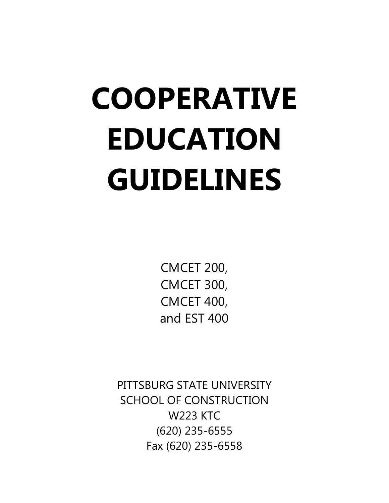# **COOPERATIVE EDUCATION GUIDELINES**

CMCET 200, CMCET 300, CMCET 400, and EST 400

PITTSBURG STATE UNIVERSITY SCHOOL OF CONSTRUCTION W223 KTC (620) 235-6555 Fax (620) 235-6558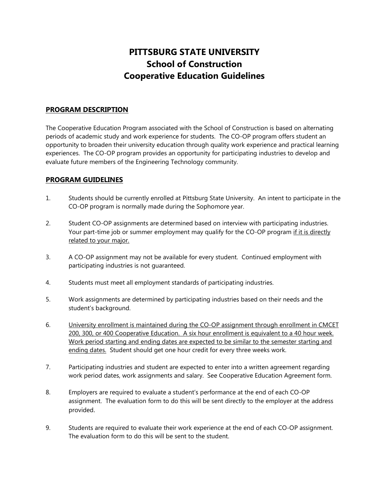# **PITTSBURG STATE UNIVERSITY School of Construction Cooperative Education Guidelines**

#### **PROGRAM DESCRIPTION**

The Cooperative Education Program associated with the School of Construction is based on alternating periods of academic study and work experience for students. The CO-OP program offers student an opportunity to broaden their university education through quality work experience and practical learning experiences. The CO-OP program provides an opportunity for participating industries to develop and evaluate future members of the Engineering Technology community.

#### **PROGRAM GUIDELINES**

- 1. Students should be currently enrolled at Pittsburg State University. An intent to participate in the CO-OP program is normally made during the Sophomore year.
- 2. Student CO-OP assignments are determined based on interview with participating industries. Your part-time job or summer employment may qualify for the CO-OP program if it is directly related to your major.
- 3. A CO-OP assignment may not be available for every student. Continued employment with participating industries is not guaranteed.
- 4. Students must meet all employment standards of participating industries.
- 5. Work assignments are determined by participating industries based on their needs and the student's background.
- 6. University enrollment is maintained during the CO-OP assignment through enrollment in CMCET 200, 300, or 400 Cooperative Education. A six hour enrollment is equivalent to a 40 hour week. Work period starting and ending dates are expected to be similar to the semester starting and ending dates. Student should get one hour credit for every three weeks work.
- 7. Participating industries and student are expected to enter into a written agreement regarding work period dates, work assignments and salary. See Cooperative Education Agreement form.
- 8. Employers are required to evaluate a student's performance at the end of each CO-OP assignment. The evaluation form to do this will be sent directly to the employer at the address provided.
- 9. Students are required to evaluate their work experience at the end of each CO-OP assignment. The evaluation form to do this will be sent to the student.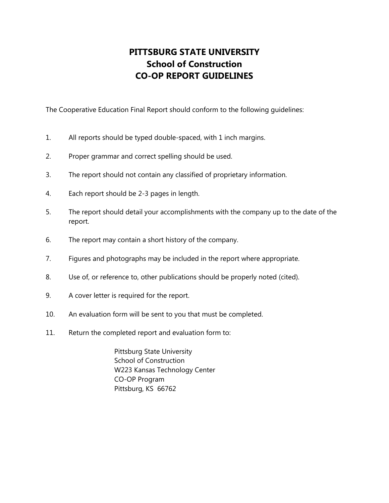# **PITTSBURG STATE UNIVERSITY School of Construction CO-OP REPORT GUIDELINES**

The Cooperative Education Final Report should conform to the following guidelines:

- 1. All reports should be typed double-spaced, with 1 inch margins.
- 2. Proper grammar and correct spelling should be used.
- 3. The report should not contain any classified of proprietary information.
- 4. Each report should be 2-3 pages in length.
- 5. The report should detail your accomplishments with the company up to the date of the report.
- 6. The report may contain a short history of the company.
- 7. Figures and photographs may be included in the report where appropriate.
- 8. Use of, or reference to, other publications should be properly noted (cited).
- 9. A cover letter is required for the report.
- 10. An evaluation form will be sent to you that must be completed.
- 11. Return the completed report and evaluation form to:

Pittsburg State University School of Construction W223 Kansas Technology Center CO-OP Program Pittsburg, KS 66762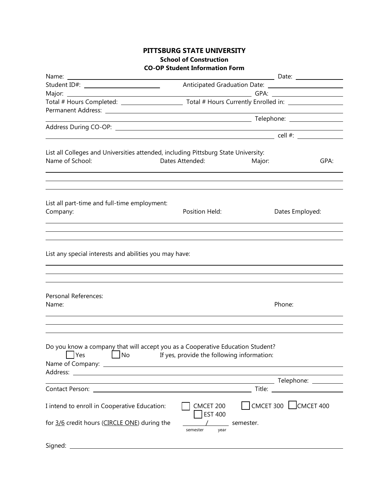#### **PITTSBURG STATE UNIVERSITY School of Construction CO-OP Student Information Form**

|                                                                                                                |                                                                                  | ____________ Date: __________________ |
|----------------------------------------------------------------------------------------------------------------|----------------------------------------------------------------------------------|---------------------------------------|
| Student ID#: <u>______________________</u>                                                                     |                                                                                  |                                       |
|                                                                                                                |                                                                                  |                                       |
|                                                                                                                |                                                                                  |                                       |
|                                                                                                                |                                                                                  |                                       |
|                                                                                                                |                                                                                  |                                       |
|                                                                                                                |                                                                                  |                                       |
|                                                                                                                |                                                                                  |                                       |
| List all Colleges and Universities attended, including Pittsburg State University:                             |                                                                                  |                                       |
| Name of School:                                                                                                | Dates Attended:                                                                  | Major:<br>GPA:                        |
|                                                                                                                |                                                                                  |                                       |
|                                                                                                                |                                                                                  |                                       |
|                                                                                                                |                                                                                  |                                       |
|                                                                                                                |                                                                                  |                                       |
| List all part-time and full-time employment:                                                                   |                                                                                  |                                       |
| Company:                                                                                                       | Position Held:                                                                   | Dates Employed:                       |
|                                                                                                                |                                                                                  |                                       |
|                                                                                                                |                                                                                  |                                       |
|                                                                                                                |                                                                                  |                                       |
|                                                                                                                |                                                                                  |                                       |
| List any special interests and abilities you may have:                                                         |                                                                                  |                                       |
|                                                                                                                |                                                                                  |                                       |
|                                                                                                                |                                                                                  |                                       |
|                                                                                                                |                                                                                  |                                       |
| Personal References:                                                                                           |                                                                                  |                                       |
| Name:                                                                                                          |                                                                                  | Phone:                                |
|                                                                                                                |                                                                                  |                                       |
|                                                                                                                |                                                                                  |                                       |
|                                                                                                                | ,我们也不会有什么。""我们的人,我们也不会有什么?""我们的人,我们也不会有什么?""我们的人,我们也不会有什么?""我们的人,我们也不会有什么?""我们的人 |                                       |
|                                                                                                                |                                                                                  |                                       |
| Do you know a company that will accept you as a Cooperative Education Student?                                 |                                                                                  |                                       |
| $ $ Yes<br>$\mathsf{J}\mathsf{No}$                                                                             | If yes, provide the following information:                                       |                                       |
|                                                                                                                |                                                                                  |                                       |
|                                                                                                                |                                                                                  |                                       |
| Contact Person: 2008 and 2008 and 2008 and 2008 and 2008 and 2008 and 2008 and 2008 and 2008 and 2008 and 2008 |                                                                                  |                                       |
|                                                                                                                |                                                                                  |                                       |
| I intend to enroll in Cooperative Education:                                                                   | CMCET 200                                                                        | $\Box$ CMCET 300 $\Box$ CMCET 400     |
|                                                                                                                | <b>EST 400</b>                                                                   |                                       |
| for 3/6 credit hours (CIRCLE ONE) during the                                                                   | semester.                                                                        |                                       |
|                                                                                                                | year<br>semester                                                                 |                                       |
|                                                                                                                |                                                                                  |                                       |
| Signed:                                                                                                        |                                                                                  |                                       |